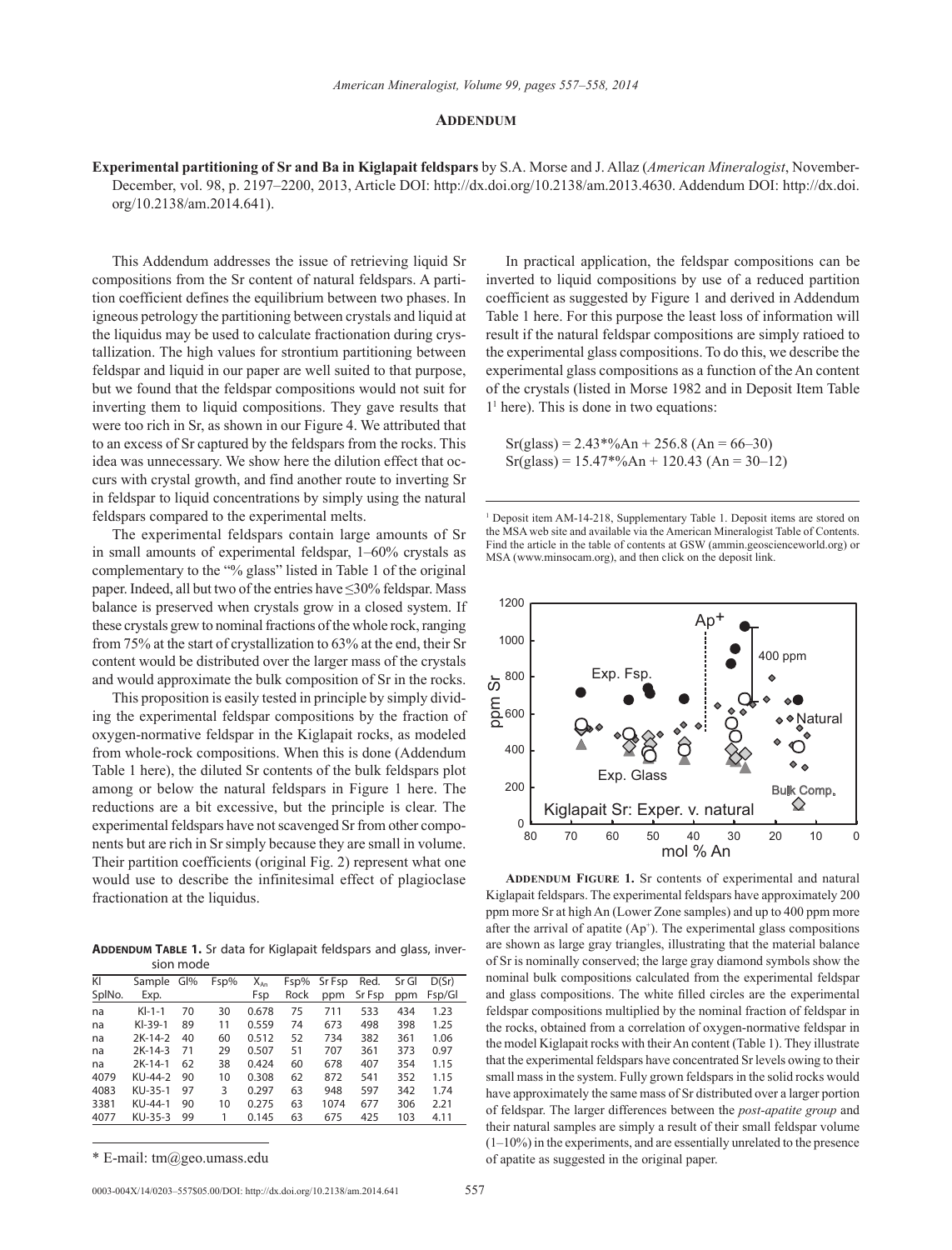### **Addendum**

**Experimental partitioning of Sr and Ba in Kiglapait feldspars** by S.A. Morse and J. Allaz (*American Mineralogist*, November-December, vol. 98, p. 2197–2200, 2013, Article DOI: http://dx.doi.org/10.2138/am.2013.4630. Addendum DOI: http://dx.doi. org/10.2138/am.2014.641).

This Addendum addresses the issue of retrieving liquid Sr compositions from the Sr content of natural feldspars. A partition coefficient defines the equilibrium between two phases. In igneous petrology the partitioning between crystals and liquid at the liquidus may be used to calculate fractionation during crystallization. The high values for strontium partitioning between feldspar and liquid in our paper are well suited to that purpose, but we found that the feldspar compositions would not suit for inverting them to liquid compositions. They gave results that were too rich in Sr, as shown in our Figure 4. We attributed that to an excess of Sr captured by the feldspars from the rocks. This idea was unnecessary. We show here the dilution effect that occurs with crystal growth, and find another route to inverting Sr in feldspar to liquid concentrations by simply using the natural feldspars compared to the experimental melts.

The experimental feldspars contain large amounts of Sr in small amounts of experimental feldspar, 1–60% crystals as complementary to the "% glass" listed in Table 1 of the original paper. Indeed, all but two of the entries have ≤30% feldspar. Mass balance is preserved when crystals grow in a closed system. If these crystals grew to nominal fractions of the whole rock, ranging from 75% at the start of crystallization to 63% at the end, their Sr content would be distributed over the larger mass of the crystals and would approximate the bulk composition of Sr in the rocks.

This proposition is easily tested in principle by simply dividing the experimental feldspar compositions by the fraction of oxygen-normative feldspar in the Kiglapait rocks, as modeled from whole-rock compositions. When this is done (Addendum Table 1 here), the diluted Sr contents of the bulk feldspars plot among or below the natural feldspars in Figure 1 here. The reductions are a bit excessive, but the principle is clear. The experimental feldspars have not scavenged Sr from other components but are rich in Sr simply because they are small in volume. Their partition coefficients (original Fig. 2) represent what one would use to describe the infinitesimal effect of plagioclase fractionation at the liquidus.

**ADDENDUM TABLE 1.** Sr data for Kiglapait feldspars and glass, inversion mode

| KI     | Sample    | GI% | Fsp% | X <sub>An</sub> | Fsp% | Sr Fsp | Red.   | Sr Gl | D(Sr)  |
|--------|-----------|-----|------|-----------------|------|--------|--------|-------|--------|
| SplNo. | Exp.      |     |      | Fsp             | Rock | ppm    | Sr Fsp | ppm   | Fsp/Gl |
| na     | $Kl-1-1$  | 70  | 30   | 0.678           | 75   | 711    | 533    | 434   | 1.23   |
| na     | $KI-39-1$ | 89  | 11   | 0.559           | 74   | 673    | 498    | 398   | 1.25   |
| na     | $2K-14-2$ | 40  | 60   | 0.512           | 52   | 734    | 382    | 361   | 1.06   |
| na     | $2K-14-3$ | 71  | 29   | 0.507           | 51   | 707    | 361    | 373   | 0.97   |
| na     | $2K-14-1$ | 62  | 38   | 0.424           | 60   | 678    | 407    | 354   | 1.15   |
| 4079   | KU-44-2   | 90  | 10   | 0.308           | 62   | 872    | 541    | 352   | 1.15   |
| 4083   | KU-35-1   | 97  | 3    | 0.297           | 63   | 948    | 597    | 342   | 1.74   |
| 3381   | KU-44-1   | 90  | 10   | 0.275           | 63   | 1074   | 677    | 306   | 2.21   |
| 4077   | KU-35-3   | 99  |      | 0.145           | 63   | 675    | 425    | 103   | 4.11   |
|        |           |     |      |                 |      |        |        |       |        |

\* E-mail: tm@geo.umass.edu

0003-004X/14/0203–557\$05.00/DOI: http://dx.doi.org/10.2138/am.2014.641 557

In practical application, the feldspar compositions can be inverted to liquid compositions by use of a reduced partition coefficient as suggested by Figure 1 and derived in Addendum Table 1 here. For this purpose the least loss of information will result if the natural feldspar compositions are simply ratioed to the experimental glass compositions. To do this, we describe the experimental glass compositions as a function of the An content of the crystals (listed in Morse 1982 and in Deposit Item Table 11 here). This is done in two equations:

 $Sr(glass) = 2.43*%An + 256.8 (An = 66-30)$  $Sr(glass) = 15.47*%An + 120.43 (An = 30-12)$ 

<sup>1</sup> Deposit item AM-14-218, Supplementary Table 1. Deposit items are stored on the MSA web site and available via the American Mineralogist Table of Contents. Find the article in the table of contents at GSW (ammin.geoscienceworld.org) or MSA (www.minsocam.org), and then click on the deposit link.



**ADDENDUM FIGURE 1.** Sr contents of experimental and natural Kiglapait feldspars. The experimental feldspars have approximately 200 ppm more Sr at high An (Lower Zone samples) and up to 400 ppm more after the arrival of apatite  $(Ap<sup>+</sup>)$ . The experimental glass compositions are shown as large gray triangles, illustrating that the material balance of Sr is nominally conserved; the large gray diamond symbols show the nominal bulk compositions calculated from the experimental feldspar and glass compositions. The white filled circles are the experimental feldspar compositions multiplied by the nominal fraction of feldspar in the rocks, obtained from a correlation of oxygen-normative feldspar in the model Kiglapait rocks with their An content (Table 1). They illustrate that the experimental feldspars have concentrated Sr levels owing to their small mass in the system. Fully grown feldspars in the solid rocks would have approximately the same mass of Sr distributed over a larger portion of feldspar. The larger differences between the *post-apatite group* and their natural samples are simply a result of their small feldspar volume (1–10%) in the experiments, and are essentially unrelated to the presence of apatite as suggested in the original paper.